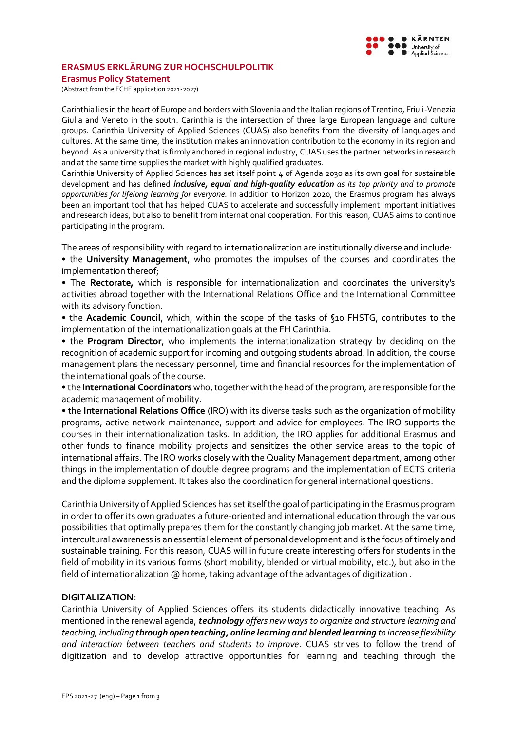

## **ERASMUS ERKLÄRUNG ZUR HOCHSCHULPOLITIK**

**Erasmus Policy Statement**

(Abstract from the ECHE application 2021-2027)

Carinthia lies in the heart of Europe and borders with Slovenia and the Italian regions of Trentino, Friuli-Venezia Giulia and Veneto in the south. Carinthia is the intersection of three large European language and culture groups. Carinthia University of Applied Sciences (CUAS) also benefits from the diversity of languages and cultures. At the same time, the institution makes an innovation contribution to the economy in its region and beyond. As a university that is firmly anchored in regional industry, CUAS uses the partner networks in research and at the same time supplies the market with highly qualified graduates.

Carinthia University of Applied Sciences has set itself point 4 of Agenda 2030 as its own goal for sustainable development and has defined *inclusive, equal and high-quality education as its top priority and to promote opportunities for lifelong learning for everyone.* In addition to Horizon 2020, the Erasmus program has always been an important tool that has helped CUAS to accelerate and successfully implement important initiatives and research ideas, but also to benefit from international cooperation. For this reason, CUAS aims to continue participating in the program.

The areas of responsibility with regard to internationalization are institutionally diverse and include:

• the **University Management**, who promotes the impulses of the courses and coordinates the implementation thereof;

• The **Rectorate,** which is responsible for internationalization and coordinates the university's activities abroad together with the International Relations Office and the International Committee with its advisory function.

• the **Academic Council**, which, within the scope of the tasks of §10 FHSTG, contributes to the implementation of the internationalization goals at the FH Carinthia.

• the **Program Director**, who implements the internationalization strategy by deciding on the recognition of academic support for incoming and outgoing students abroad. In addition, the course management plans the necessary personnel, time and financial resources for the implementation of the international goals of the course.

• the **International Coordinators**who, together with the head of the program, are responsible for the academic management of mobility.

• the **International Relations Office** (IRO) with its diverse tasks such as the organization of mobility programs, active network maintenance, support and advice for employees. The IRO supports the courses in their internationalization tasks. In addition, the IRO applies for additional Erasmus and other funds to finance mobility projects and sensitizes the other service areas to the topic of international affairs. The IRO works closely with the Quality Management department, among other things in the implementation of double degree programs and the implementation of ECTS criteria and the diploma supplement. It takes also the coordination for general international questions.

Carinthia University of Applied Sciences has set itself the goal of participating in the Erasmus program in order to offer its own graduates a future-oriented and international education through the various possibilities that optimally prepares them for the constantly changing job market. At the same time, intercultural awareness is an essential element of personal development and is the focus of timely and sustainable training. For this reason, CUAS will in future create interesting offers for students in the field of mobility in its various forms (short mobility, blended or virtual mobility, etc.), but also in the field of internationalization @ home, taking advantage of the advantages of digitization.

# **DIGITALIZATION**:

Carinthia University of Applied Sciences offers its students didactically innovative teaching. As mentioned in the renewal agenda, *technology offers new ways to organize and structure learning and teaching, including through open teaching, online learning and blended learning to increase flexibility and interaction between teachers and students to improve*. CUAS strives to follow the trend of digitization and to develop attractive opportunities for learning and teaching through the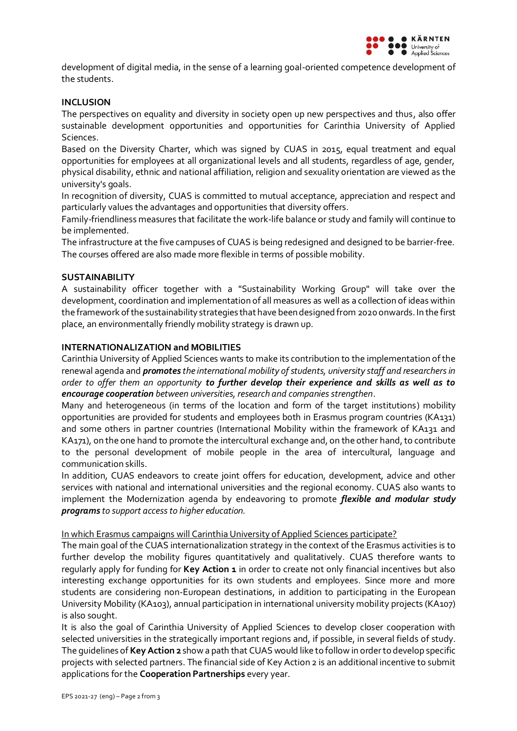

development of digital media, in the sense of a learning goal-oriented competence development of the students.

### **INCLUSION**

The perspectives on equality and diversity in society open up new perspectives and thus, also offer sustainable development opportunities and opportunities for Carinthia University of Applied Sciences.

Based on the Diversity Charter, which was signed by CUAS in 2015, equal treatment and equal opportunities for employees at all organizational levels and all students, regardless of age, gender, physical disability, ethnic and national affiliation, religion and sexuality orientation are viewed as the university's goals.

In recognition of diversity, CUAS is committed to mutual acceptance, appreciation and respect and particularly values the advantages and opportunities that diversity offers.

Family-friendliness measures that facilitate the work-life balance or study and family will continue to be implemented.

The infrastructure at the five campuses of CUAS is being redesigned and designed to be barrier-free. The courses offered are also made more flexible in terms of possible mobility.

#### **SUSTAINABILITY**

A sustainability officer together with a "Sustainability Working Group" will take over the development, coordination and implementation of all measures as well as a collection of ideas within the framework of the sustainability strategies that have been designed from 2020 onwards. In the first place, an environmentally friendly mobility strategy is drawn up.

#### **INTERNATIONALIZATION and MOBILITIES**

Carinthia University of Applied Sciences wants to make its contribution to the implementation of the renewal agenda and *promotes the international mobility of students, university staff and researchers in order to offer them an opportunity to further develop their experience and skills as well as to encourage cooperation between universities, research and companies strengthen*.

Many and heterogeneous (in terms of the location and form of the target institutions) mobility opportunities are provided for students and employees both in Erasmus program countries (KA131) and some others in partner countries (International Mobility within the framework of KA131 and KA171), on the one hand to promote the intercultural exchange and, on the other hand, to contribute to the personal development of mobile people in the area of intercultural, language and communication skills.

In addition, CUAS endeavors to create joint offers for education, development, advice and other services with national and international universities and the regional economy. CUAS also wants to implement the Modernization agenda by endeavoring to promote *flexible and modular study programs to support access to higher education.*

#### In which Erasmus campaigns will Carinthia University of Applied Sciences participate?

The main goal of the CUAS internationalization strategy in the context of the Erasmus activities is to further develop the mobility figures quantitatively and qualitatively. CUAS therefore wants to regularly apply for funding for **Key Action 1** in order to create not only financial incentives but also interesting exchange opportunities for its own students and employees. Since more and more students are considering non-European destinations, in addition to participating in the European University Mobility (KA103), annual participation in international university mobility projects (KA107) is also sought.

It is also the goal of Carinthia University of Applied Sciences to develop closer cooperation with selected universities in the strategically important regions and, if possible, in several fields of study. The guidelines of **Key Action 2** show a path that CUAS would like to follow in order to develop specific projects with selected partners. The financial side of Key Action 2 is an additional incentive to submit applications for the **Cooperation Partnerships** every year.